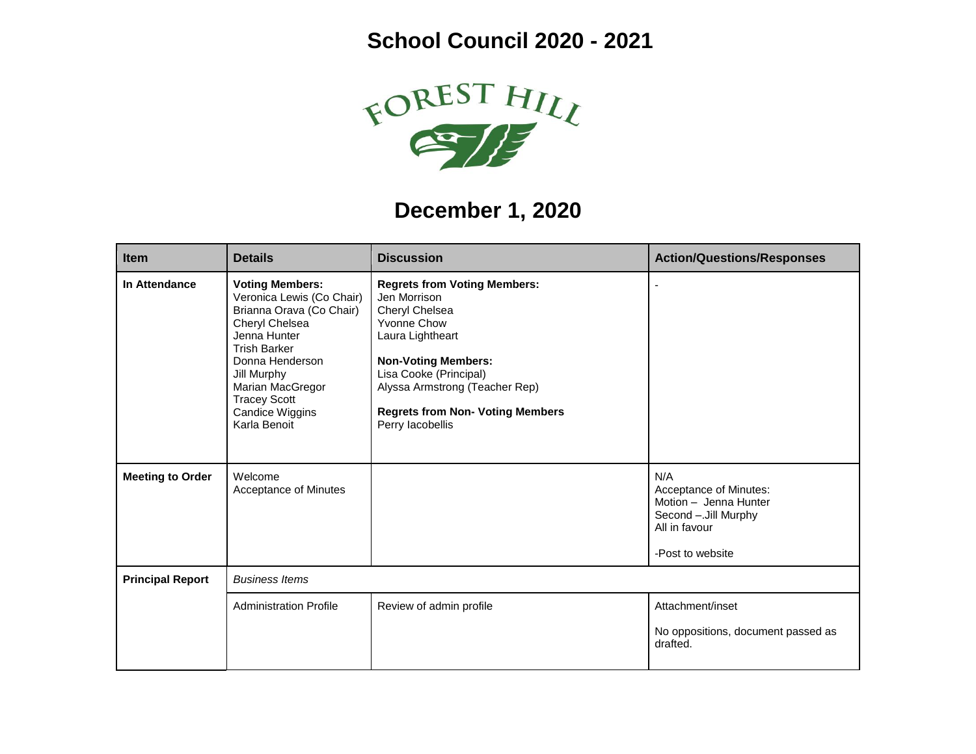## **School Council 2020 - 2021**



## **December 1, 2020**

| <b>Item</b>             | <b>Details</b>                                                                                                                                                                                                                                                  | <b>Discussion</b>                                                                                                                                                                                                                                                 | <b>Action/Questions/Responses</b>                                                                                    |
|-------------------------|-----------------------------------------------------------------------------------------------------------------------------------------------------------------------------------------------------------------------------------------------------------------|-------------------------------------------------------------------------------------------------------------------------------------------------------------------------------------------------------------------------------------------------------------------|----------------------------------------------------------------------------------------------------------------------|
| In Attendance           | <b>Voting Members:</b><br>Veronica Lewis (Co Chair)<br>Brianna Orava (Co Chair)<br>Cheryl Chelsea<br>Jenna Hunter<br><b>Trish Barker</b><br>Donna Henderson<br>Jill Murphy<br>Marian MacGregor<br><b>Tracey Scott</b><br><b>Candice Wiggins</b><br>Karla Benoit | <b>Regrets from Voting Members:</b><br>Jen Morrison<br>Cheryl Chelsea<br>Yvonne Chow<br>Laura Lightheart<br><b>Non-Voting Members:</b><br>Lisa Cooke (Principal)<br>Alyssa Armstrong (Teacher Rep)<br><b>Regrets from Non- Voting Members</b><br>Perry lacobellis |                                                                                                                      |
| <b>Meeting to Order</b> | Welcome<br>Acceptance of Minutes                                                                                                                                                                                                                                |                                                                                                                                                                                                                                                                   | N/A<br>Acceptance of Minutes:<br>Motion - Jenna Hunter<br>Second -. Jill Murphy<br>All in favour<br>-Post to website |
| <b>Principal Report</b> | <b>Business Items</b>                                                                                                                                                                                                                                           |                                                                                                                                                                                                                                                                   |                                                                                                                      |
|                         | <b>Administration Profile</b>                                                                                                                                                                                                                                   | Review of admin profile                                                                                                                                                                                                                                           | Attachment/inset<br>No oppositions, document passed as<br>drafted.                                                   |
|                         |                                                                                                                                                                                                                                                                 |                                                                                                                                                                                                                                                                   |                                                                                                                      |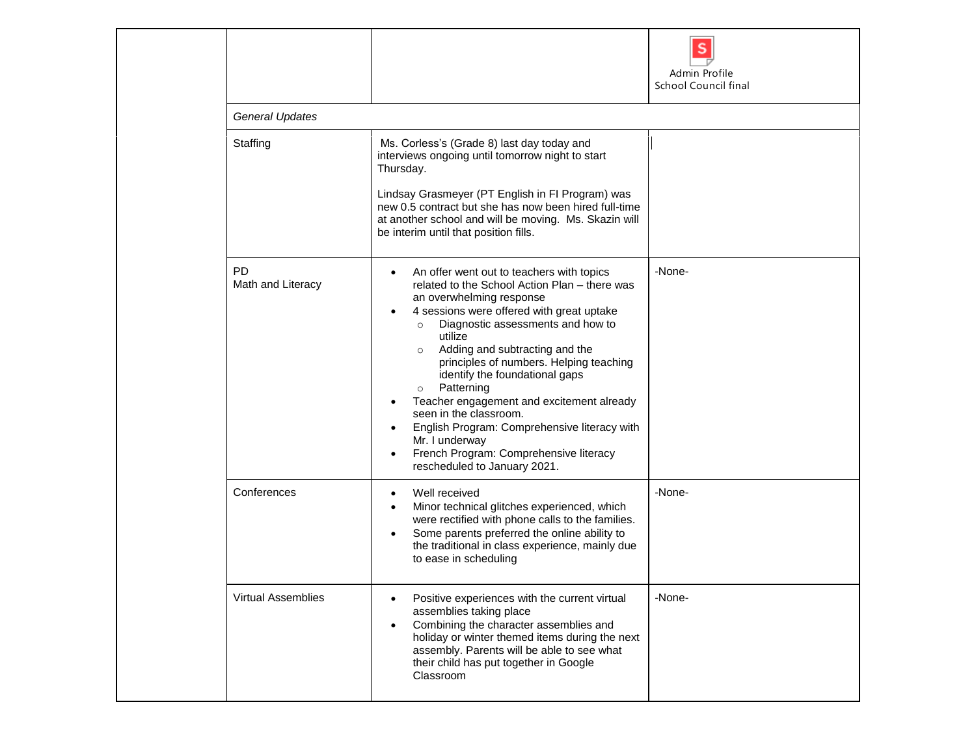|                                |                                                                                                                                                                                                                                                                                                                                                                                                                                                                                                                                                                                                      | Admin Profile<br>School Council final |
|--------------------------------|------------------------------------------------------------------------------------------------------------------------------------------------------------------------------------------------------------------------------------------------------------------------------------------------------------------------------------------------------------------------------------------------------------------------------------------------------------------------------------------------------------------------------------------------------------------------------------------------------|---------------------------------------|
| <b>General Updates</b>         |                                                                                                                                                                                                                                                                                                                                                                                                                                                                                                                                                                                                      |                                       |
| Staffing                       | Ms. Corless's (Grade 8) last day today and<br>interviews ongoing until tomorrow night to start<br>Thursday.<br>Lindsay Grasmeyer (PT English in FI Program) was<br>new 0.5 contract but she has now been hired full-time<br>at another school and will be moving. Ms. Skazin will<br>be interim until that position fills.                                                                                                                                                                                                                                                                           |                                       |
| <b>PD</b><br>Math and Literacy | An offer went out to teachers with topics<br>related to the School Action Plan - there was<br>an overwhelming response<br>4 sessions were offered with great uptake<br>Diagnostic assessments and how to<br>$\circ$<br>utilize<br>Adding and subtracting and the<br>$\circ$<br>principles of numbers. Helping teaching<br>identify the foundational gaps<br>Patterning<br>$\circ$<br>Teacher engagement and excitement already<br>seen in the classroom.<br>English Program: Comprehensive literacy with<br>Mr. I underway<br>French Program: Comprehensive literacy<br>rescheduled to January 2021. | -None-                                |
| Conferences                    | Well received<br>$\bullet$<br>Minor technical glitches experienced, which<br>were rectified with phone calls to the families.<br>Some parents preferred the online ability to<br>the traditional in class experience, mainly due<br>to ease in scheduling                                                                                                                                                                                                                                                                                                                                            | -None-                                |
| <b>Virtual Assemblies</b>      | Positive experiences with the current virtual<br>assemblies taking place<br>Combining the character assemblies and<br>$\bullet$<br>holiday or winter themed items during the next<br>assembly. Parents will be able to see what<br>their child has put together in Google<br>Classroom                                                                                                                                                                                                                                                                                                               | -None-                                |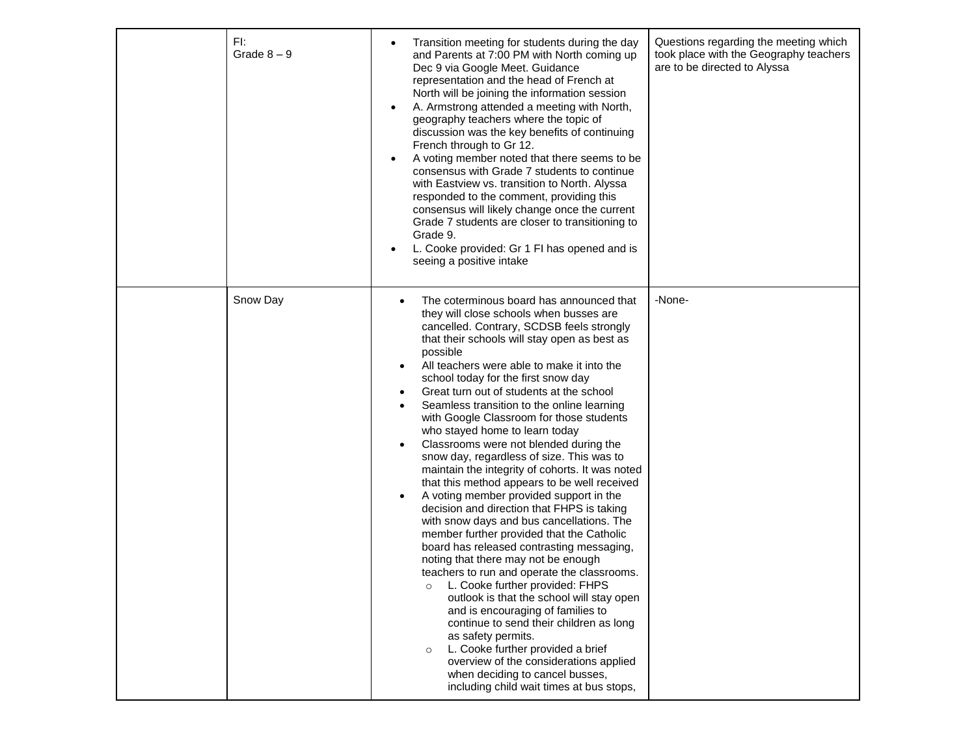| FI:      | Grade $8-9$ | Transition meeting for students during the day<br>٠<br>and Parents at 7:00 PM with North coming up<br>Dec 9 via Google Meet. Guidance<br>representation and the head of French at<br>North will be joining the information session<br>A. Armstrong attended a meeting with North,<br>$\bullet$<br>geography teachers where the topic of<br>discussion was the key benefits of continuing<br>French through to Gr 12.<br>A voting member noted that there seems to be<br>$\bullet$<br>consensus with Grade 7 students to continue<br>with Eastview vs. transition to North. Alyssa<br>responded to the comment, providing this<br>consensus will likely change once the current<br>Grade 7 students are closer to transitioning to<br>Grade 9.<br>L. Cooke provided: Gr 1 FI has opened and is<br>$\bullet$<br>seeing a positive intake                                                                                                                                                                                                                                                                                                                                                                                                                                                                                                                                                                            | Questions regarding the meeting which<br>took place with the Geography teachers<br>are to be directed to Alyssa |
|----------|-------------|-------------------------------------------------------------------------------------------------------------------------------------------------------------------------------------------------------------------------------------------------------------------------------------------------------------------------------------------------------------------------------------------------------------------------------------------------------------------------------------------------------------------------------------------------------------------------------------------------------------------------------------------------------------------------------------------------------------------------------------------------------------------------------------------------------------------------------------------------------------------------------------------------------------------------------------------------------------------------------------------------------------------------------------------------------------------------------------------------------------------------------------------------------------------------------------------------------------------------------------------------------------------------------------------------------------------------------------------------------------------------------------------------------------------|-----------------------------------------------------------------------------------------------------------------|
| Snow Day |             | The coterminous board has announced that<br>$\bullet$<br>they will close schools when busses are<br>cancelled. Contrary, SCDSB feels strongly<br>that their schools will stay open as best as<br>possible<br>All teachers were able to make it into the<br>$\bullet$<br>school today for the first snow day<br>Great turn out of students at the school<br>٠<br>Seamless transition to the online learning<br>$\bullet$<br>with Google Classroom for those students<br>who stayed home to learn today<br>Classrooms were not blended during the<br>٠<br>snow day, regardless of size. This was to<br>maintain the integrity of cohorts. It was noted<br>that this method appears to be well received<br>A voting member provided support in the<br>$\bullet$<br>decision and direction that FHPS is taking<br>with snow days and bus cancellations. The<br>member further provided that the Catholic<br>board has released contrasting messaging,<br>noting that there may not be enough<br>teachers to run and operate the classrooms.<br>L. Cooke further provided: FHPS<br>$\circ$<br>outlook is that the school will stay open<br>and is encouraging of families to<br>continue to send their children as long<br>as safety permits.<br>L. Cooke further provided a brief<br>$\circ$<br>overview of the considerations applied<br>when deciding to cancel busses,<br>including child wait times at bus stops, | -None-                                                                                                          |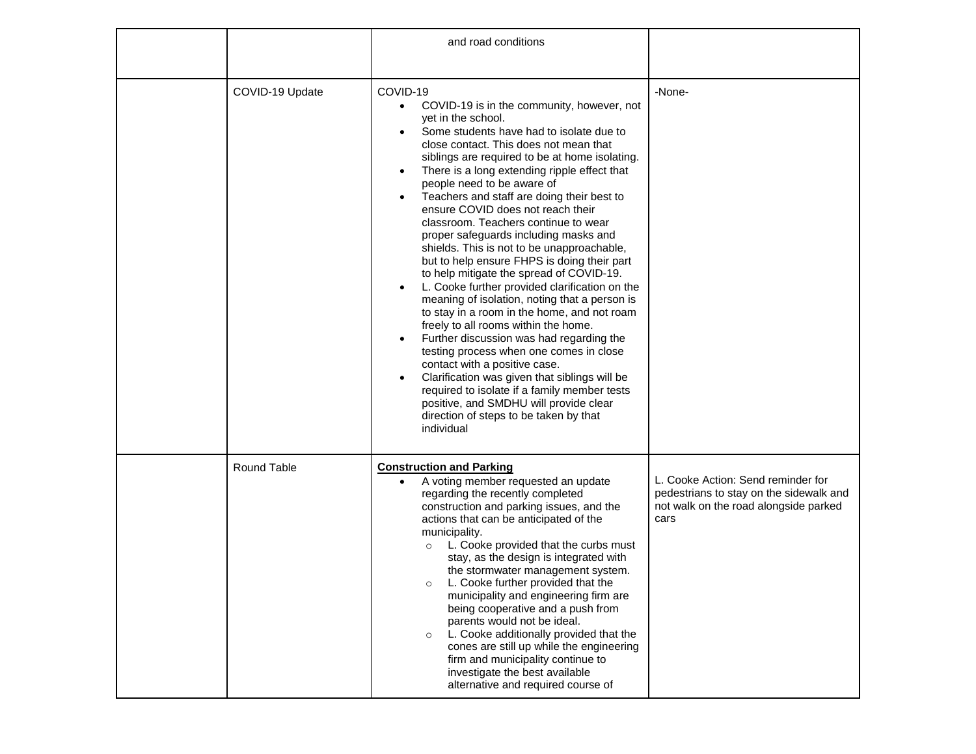|                    | and road conditions                                                                                                                                                                                                                                                                                                                                                                                                                                                                                                                                                                                                                                                                                                                                                                                                                                                                                                                                                                                                                                                                                                                                                                                                             |                                                                                                                                |
|--------------------|---------------------------------------------------------------------------------------------------------------------------------------------------------------------------------------------------------------------------------------------------------------------------------------------------------------------------------------------------------------------------------------------------------------------------------------------------------------------------------------------------------------------------------------------------------------------------------------------------------------------------------------------------------------------------------------------------------------------------------------------------------------------------------------------------------------------------------------------------------------------------------------------------------------------------------------------------------------------------------------------------------------------------------------------------------------------------------------------------------------------------------------------------------------------------------------------------------------------------------|--------------------------------------------------------------------------------------------------------------------------------|
| COVID-19 Update    | COVID-19<br>COVID-19 is in the community, however, not<br>$\bullet$<br>yet in the school.<br>Some students have had to isolate due to<br>$\bullet$<br>close contact. This does not mean that<br>siblings are required to be at home isolating.<br>There is a long extending ripple effect that<br>$\bullet$<br>people need to be aware of<br>Teachers and staff are doing their best to<br>$\bullet$<br>ensure COVID does not reach their<br>classroom. Teachers continue to wear<br>proper safeguards including masks and<br>shields. This is not to be unapproachable,<br>but to help ensure FHPS is doing their part<br>to help mitigate the spread of COVID-19.<br>L. Cooke further provided clarification on the<br>$\bullet$<br>meaning of isolation, noting that a person is<br>to stay in a room in the home, and not roam<br>freely to all rooms within the home.<br>Further discussion was had regarding the<br>$\bullet$<br>testing process when one comes in close<br>contact with a positive case.<br>Clarification was given that siblings will be<br>$\bullet$<br>required to isolate if a family member tests<br>positive, and SMDHU will provide clear<br>direction of steps to be taken by that<br>individual | -None-                                                                                                                         |
| <b>Round Table</b> | <b>Construction and Parking</b><br>A voting member requested an update<br>regarding the recently completed<br>construction and parking issues, and the<br>actions that can be anticipated of the<br>municipality.<br>L. Cooke provided that the curbs must<br>$\circ$<br>stay, as the design is integrated with<br>the stormwater management system.<br>L. Cooke further provided that the<br>$\circ$<br>municipality and engineering firm are<br>being cooperative and a push from<br>parents would not be ideal.<br>L. Cooke additionally provided that the<br>$\circ$<br>cones are still up while the engineering<br>firm and municipality continue to<br>investigate the best available<br>alternative and required course of                                                                                                                                                                                                                                                                                                                                                                                                                                                                                               | L. Cooke Action: Send reminder for<br>pedestrians to stay on the sidewalk and<br>not walk on the road alongside parked<br>cars |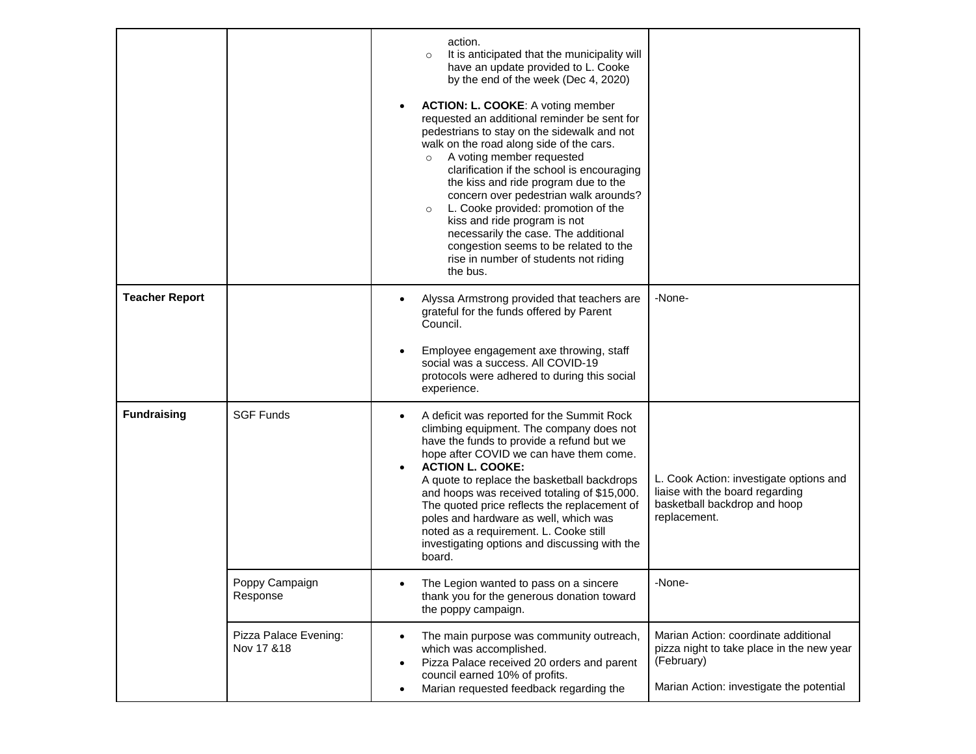|                       |                                     | action.<br>It is anticipated that the municipality will<br>$\circ$<br>have an update provided to L. Cooke<br>by the end of the week (Dec 4, 2020)<br><b>ACTION: L. COOKE: A voting member</b><br>$\bullet$<br>requested an additional reminder be sent for<br>pedestrians to stay on the sidewalk and not<br>walk on the road along side of the cars.<br>A voting member requested<br>$\circ$<br>clarification if the school is encouraging<br>the kiss and ride program due to the<br>concern over pedestrian walk arounds?<br>L. Cooke provided: promotion of the<br>$\circ$<br>kiss and ride program is not<br>necessarily the case. The additional<br>congestion seems to be related to the<br>rise in number of students not riding<br>the bus. |                                                                                                                                             |
|-----------------------|-------------------------------------|------------------------------------------------------------------------------------------------------------------------------------------------------------------------------------------------------------------------------------------------------------------------------------------------------------------------------------------------------------------------------------------------------------------------------------------------------------------------------------------------------------------------------------------------------------------------------------------------------------------------------------------------------------------------------------------------------------------------------------------------------|---------------------------------------------------------------------------------------------------------------------------------------------|
| <b>Teacher Report</b> |                                     | Alyssa Armstrong provided that teachers are<br>$\bullet$<br>grateful for the funds offered by Parent<br>Council.<br>Employee engagement axe throwing, staff<br>$\bullet$<br>social was a success. All COVID-19<br>protocols were adhered to during this social<br>experience.                                                                                                                                                                                                                                                                                                                                                                                                                                                                        | -None-                                                                                                                                      |
| <b>Fundraising</b>    | <b>SGF Funds</b>                    | A deficit was reported for the Summit Rock<br>$\bullet$<br>climbing equipment. The company does not<br>have the funds to provide a refund but we<br>hope after COVID we can have them come.<br><b>ACTION L. COOKE:</b><br>$\bullet$<br>A quote to replace the basketball backdrops<br>and hoops was received totaling of \$15,000.<br>The quoted price reflects the replacement of<br>poles and hardware as well, which was<br>noted as a requirement. L. Cooke still<br>investigating options and discussing with the<br>board.                                                                                                                                                                                                                     | L. Cook Action: investigate options and<br>liaise with the board regarding<br>basketball backdrop and hoop<br>replacement.                  |
|                       | Poppy Campaign<br>Response          | The Legion wanted to pass on a sincere<br>thank you for the generous donation toward<br>the poppy campaign.                                                                                                                                                                                                                                                                                                                                                                                                                                                                                                                                                                                                                                          | -None-                                                                                                                                      |
|                       | Pizza Palace Evening:<br>Nov 17 &18 | The main purpose was community outreach,<br>$\bullet$<br>which was accomplished.<br>Pizza Palace received 20 orders and parent<br>$\bullet$<br>council earned 10% of profits.<br>Marian requested feedback regarding the<br>$\bullet$                                                                                                                                                                                                                                                                                                                                                                                                                                                                                                                | Marian Action: coordinate additional<br>pizza night to take place in the new year<br>(February)<br>Marian Action: investigate the potential |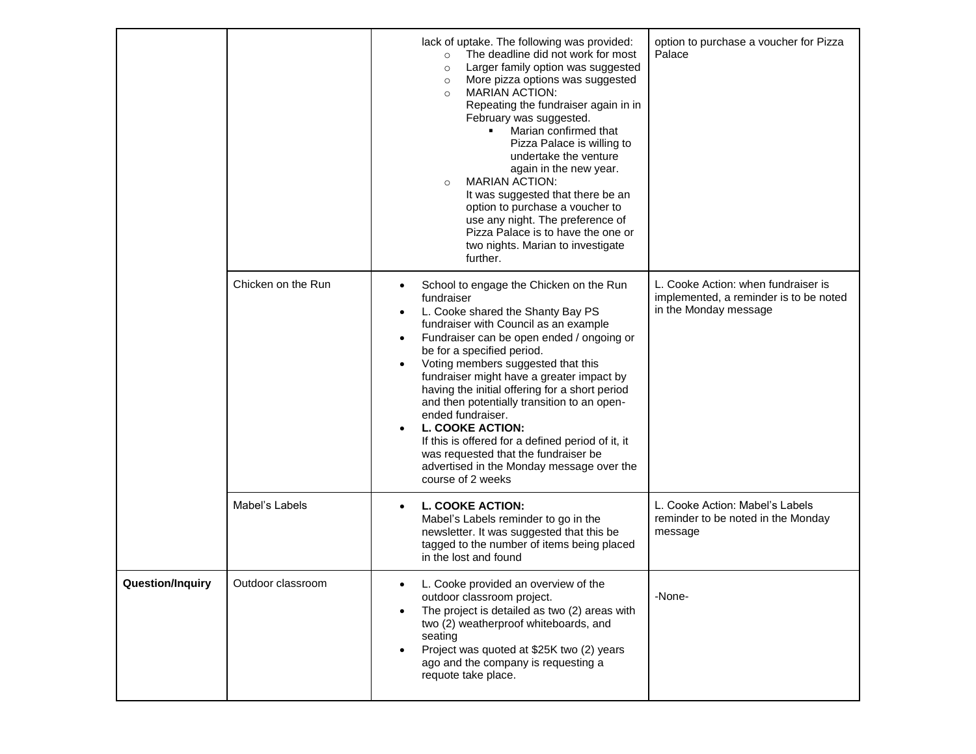|                         |                    | lack of uptake. The following was provided:<br>The deadline did not work for most<br>$\circ$<br>Larger family option was suggested<br>$\circ$<br>More pizza options was suggested<br>$\circ$<br><b>MARIAN ACTION:</b><br>$\circ$<br>Repeating the fundraiser again in in<br>February was suggested.<br>Marian confirmed that<br>$\blacksquare$<br>Pizza Palace is willing to<br>undertake the venture<br>again in the new year.<br><b>MARIAN ACTION:</b><br>$\circ$<br>It was suggested that there be an<br>option to purchase a voucher to<br>use any night. The preference of<br>Pizza Palace is to have the one or<br>two nights. Marian to investigate<br>further.     | option to purchase a voucher for Pizza<br>Palace                                                       |
|-------------------------|--------------------|----------------------------------------------------------------------------------------------------------------------------------------------------------------------------------------------------------------------------------------------------------------------------------------------------------------------------------------------------------------------------------------------------------------------------------------------------------------------------------------------------------------------------------------------------------------------------------------------------------------------------------------------------------------------------|--------------------------------------------------------------------------------------------------------|
|                         | Chicken on the Run | School to engage the Chicken on the Run<br>$\bullet$<br>fundraiser<br>L. Cooke shared the Shanty Bay PS<br>٠<br>fundraiser with Council as an example<br>Fundraiser can be open ended / ongoing or<br>$\bullet$<br>be for a specified period.<br>Voting members suggested that this<br>$\bullet$<br>fundraiser might have a greater impact by<br>having the initial offering for a short period<br>and then potentially transition to an open-<br>ended fundraiser.<br><b>L. COOKE ACTION:</b><br>$\bullet$<br>If this is offered for a defined period of it, it<br>was requested that the fundraiser be<br>advertised in the Monday message over the<br>course of 2 weeks | L. Cooke Action: when fundraiser is<br>implemented, a reminder is to be noted<br>in the Monday message |
|                         | Mabel's Labels     | <b>L. COOKE ACTION:</b><br>$\bullet$<br>Mabel's Labels reminder to go in the<br>newsletter. It was suggested that this be<br>tagged to the number of items being placed<br>in the lost and found                                                                                                                                                                                                                                                                                                                                                                                                                                                                           | L. Cooke Action: Mabel's Labels<br>reminder to be noted in the Monday<br>message                       |
| <b>Question/Inquiry</b> | Outdoor classroom  | L. Cooke provided an overview of the<br>outdoor classroom project.<br>The project is detailed as two (2) areas with<br>two (2) weatherproof whiteboards, and<br>seating<br>Project was quoted at \$25K two (2) years<br>$\bullet$<br>ago and the company is requesting a<br>requote take place.                                                                                                                                                                                                                                                                                                                                                                            | -None-                                                                                                 |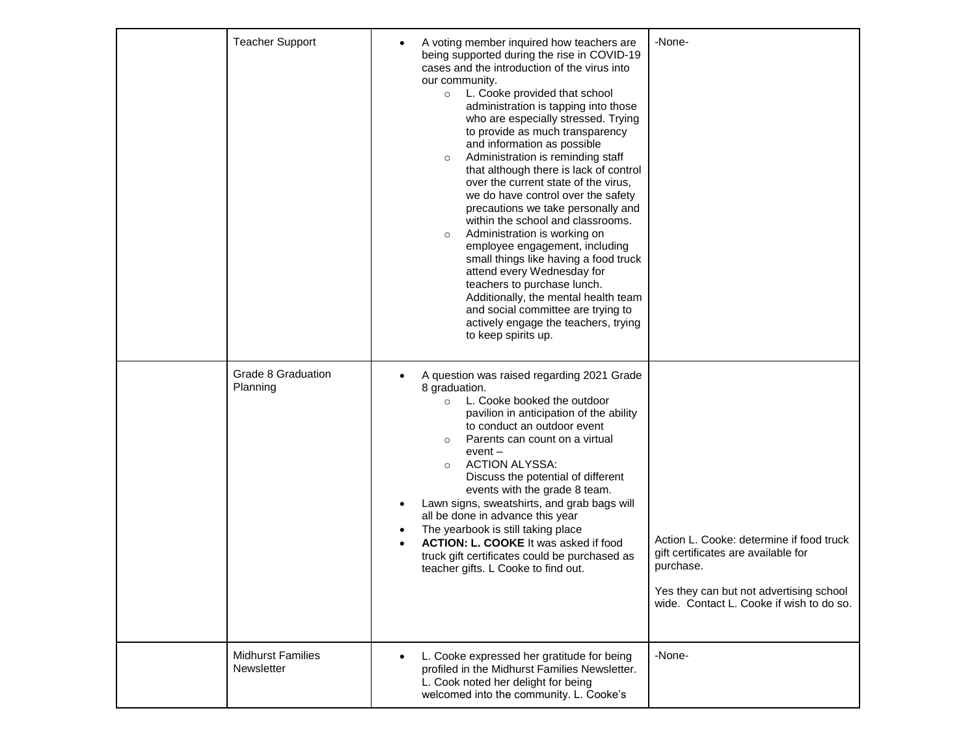| <b>Teacher Support</b>                 | A voting member inquired how teachers are<br>$\bullet$<br>being supported during the rise in COVID-19<br>cases and the introduction of the virus into<br>our community.<br>L. Cooke provided that school<br>$\circ$<br>administration is tapping into those<br>who are especially stressed. Trying<br>to provide as much transparency<br>and information as possible<br>Administration is reminding staff<br>$\circ$<br>that although there is lack of control<br>over the current state of the virus,<br>we do have control over the safety<br>precautions we take personally and<br>within the school and classrooms.<br>Administration is working on<br>$\circ$<br>employee engagement, including<br>small things like having a food truck<br>attend every Wednesday for<br>teachers to purchase lunch.<br>Additionally, the mental health team<br>and social committee are trying to<br>actively engage the teachers, trying<br>to keep spirits up. | -None-                                                                                                                                                                              |
|----------------------------------------|---------------------------------------------------------------------------------------------------------------------------------------------------------------------------------------------------------------------------------------------------------------------------------------------------------------------------------------------------------------------------------------------------------------------------------------------------------------------------------------------------------------------------------------------------------------------------------------------------------------------------------------------------------------------------------------------------------------------------------------------------------------------------------------------------------------------------------------------------------------------------------------------------------------------------------------------------------|-------------------------------------------------------------------------------------------------------------------------------------------------------------------------------------|
| Grade 8 Graduation<br>Planning         | A question was raised regarding 2021 Grade<br>$\bullet$<br>8 graduation.<br>L. Cooke booked the outdoor<br>$\circ$<br>pavilion in anticipation of the ability<br>to conduct an outdoor event<br>Parents can count on a virtual<br>$\circ$<br>$event -$<br><b>ACTION ALYSSA:</b><br>$\circ$<br>Discuss the potential of different<br>events with the grade 8 team.<br>Lawn signs, sweatshirts, and grab bags will<br>٠<br>all be done in advance this year<br>The yearbook is still taking place<br>٠<br><b>ACTION: L. COOKE</b> It was asked if food<br>$\bullet$<br>truck gift certificates could be purchased as<br>teacher gifts. L Cooke to find out.                                                                                                                                                                                                                                                                                               | Action L. Cooke: determine if food truck<br>gift certificates are available for<br>purchase.<br>Yes they can but not advertising school<br>wide. Contact L. Cooke if wish to do so. |
| <b>Midhurst Families</b><br>Newsletter | L. Cooke expressed her gratitude for being<br>$\bullet$<br>profiled in the Midhurst Families Newsletter.<br>L. Cook noted her delight for being<br>welcomed into the community. L. Cooke's                                                                                                                                                                                                                                                                                                                                                                                                                                                                                                                                                                                                                                                                                                                                                              | -None-                                                                                                                                                                              |